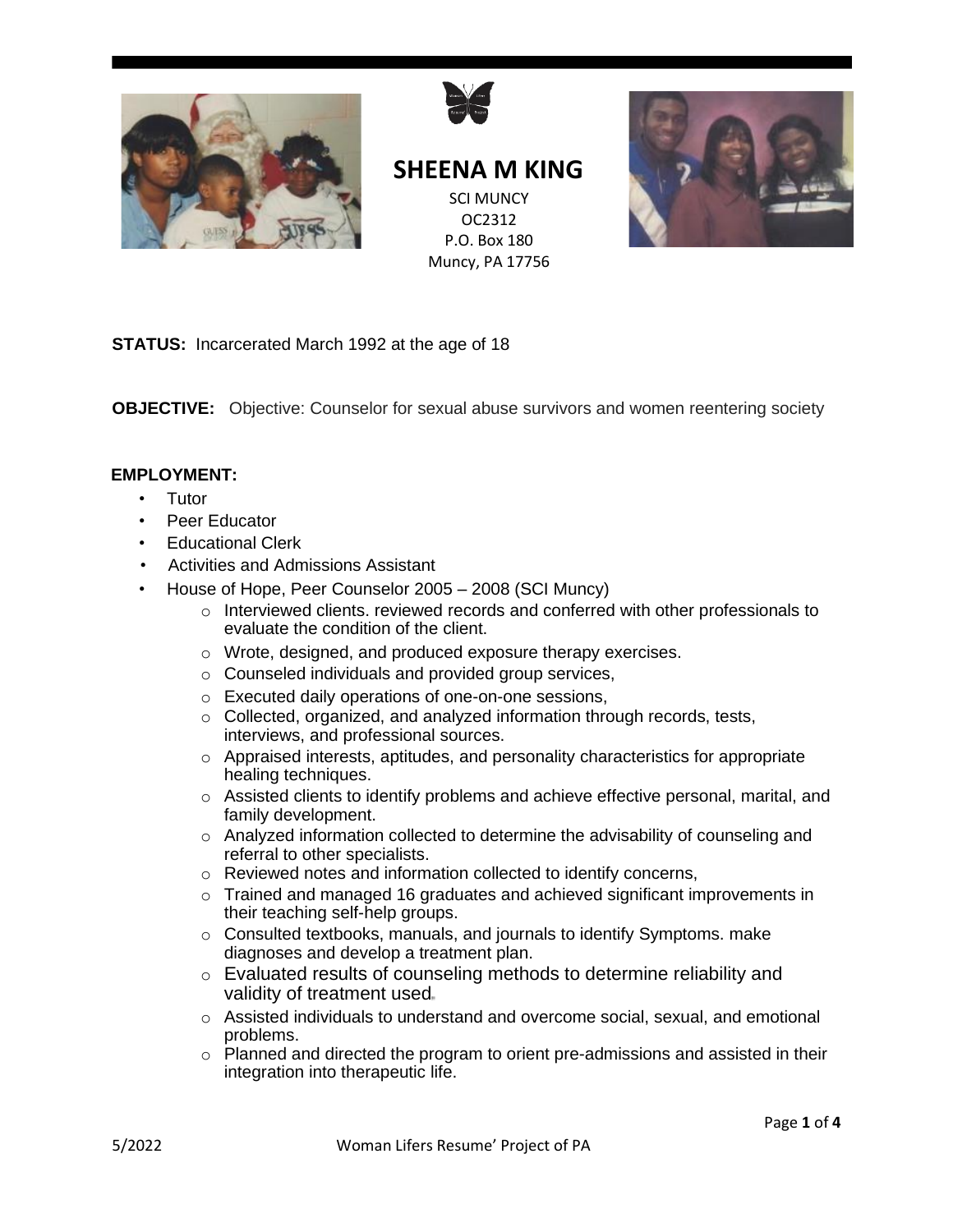



**SHEENA M KING** SCI MUNCY OC2312 P.O. Box 180 Muncy, PA 17756



**STATUS:** Incarcerated March 1992 at the age of 18

**OBJECTIVE:** Objective: Counselor for sexual abuse survivors and women reentering society

## **EMPLOYMENT:**

- **Tutor**
- Peer Educator
- Educational Clerk
- Activities and Admissions Assistant
	- House of Hope, Peer Counselor 2005 2008 (SCI Muncy)
		- o Interviewed clients. reviewed records and conferred with other professionals to evaluate the condition of the client.
		- o Wrote, designed, and produced exposure therapy exercises.
		- o Counseled individuals and provided group services,
		- o Executed daily operations of one-on-one sessions,
		- o Collected, organized, and analyzed information through records, tests, interviews, and professional sources.
		- $\circ$  Appraised interests, aptitudes, and personality characteristics for appropriate healing techniques.
		- o Assisted clients to identify problems and achieve effective personal, marital, and family development.
		- o Analyzed information collected to determine the advisability of counseling and referral to other specialists.
		- o Reviewed notes and information collected to identify concerns,
		- $\circ$  Trained and managed 16 graduates and achieved significant improvements in their teaching self-help groups.
		- o Consulted textbooks, manuals, and journals to identify Symptoms. make diagnoses and develop a treatment plan.
		- o Evaluated results of counseling methods to determine reliability and validity of treatment used
		- $\circ$  Assisted individuals to understand and overcome social, sexual, and emotional problems.
		- $\circ$  Planned and directed the program to orient pre-admissions and assisted in their integration into therapeutic life.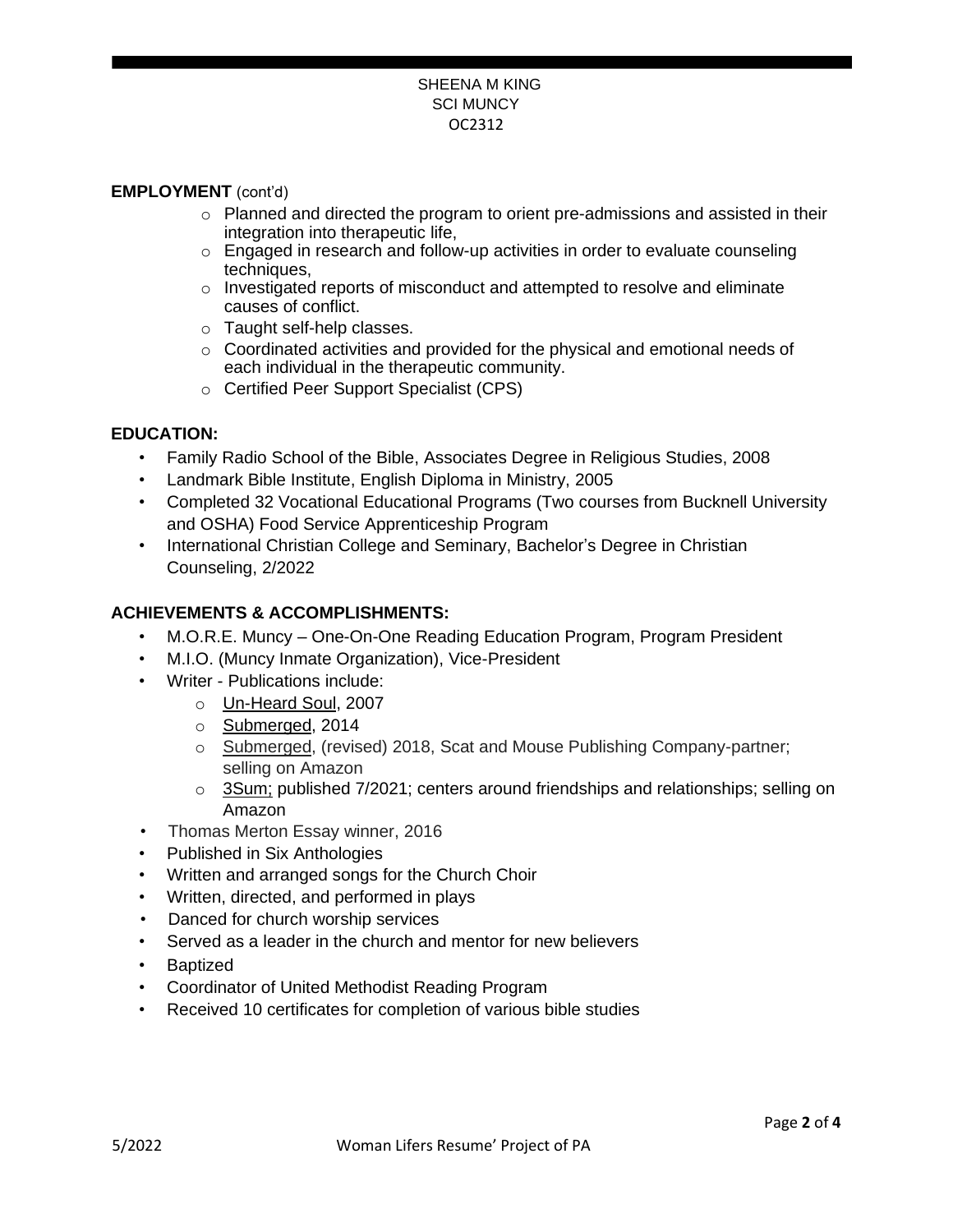#### SHEENA M KING SCI MUNCY OC2312

## **EMPLOYMENT** (cont'd)

- $\circ$  Planned and directed the program to orient pre-admissions and assisted in their integration into therapeutic life,
- $\circ$  Engaged in research and follow-up activities in order to evaluate counseling techniques,
- $\circ$  Investigated reports of misconduct and attempted to resolve and eliminate causes of conflict.
- o Taught self-help classes.
- o Coordinated activities and provided for the physical and emotional needs of each individual in the therapeutic community.
- o Certified Peer Support Specialist (CPS)

## **EDUCATION:**

- Family Radio School of the Bible, Associates Degree in Religious Studies, 2008
- Landmark Bible Institute, English Diploma in Ministry, 2005
- Completed 32 Vocational Educational Programs (Two courses from Bucknell University and OSHA) Food Service Apprenticeship Program
- International Christian College and Seminary, Bachelor's Degree in Christian Counseling, 2/2022

## **ACHIEVEMENTS & ACCOMPLISHMENTS:**

- M.O.R.E. Muncy One-On-One Reading Education Program, Program President
- M.I.O. (Muncy Inmate Organization), Vice-President
- Writer Publications include:
	- o Un-Heard Soul, 2007
	- o Submerged, 2014
	- o Submerged, (revised) 2018, Scat and Mouse Publishing Company-partner; selling on Amazon
	- $\circ$  3Sum; published 7/2021; centers around friendships and relationships; selling on Amazon
- Thomas Merton Essay winner, 2016
- Published in Six Anthologies
- Written and arranged songs for the Church Choir
- Written, directed, and performed in plays
- Danced for church worship services
- Served as a leader in the church and mentor for new believers
- Baptized
- Coordinator of United Methodist Reading Program
- Received 10 certificates for completion of various bible studies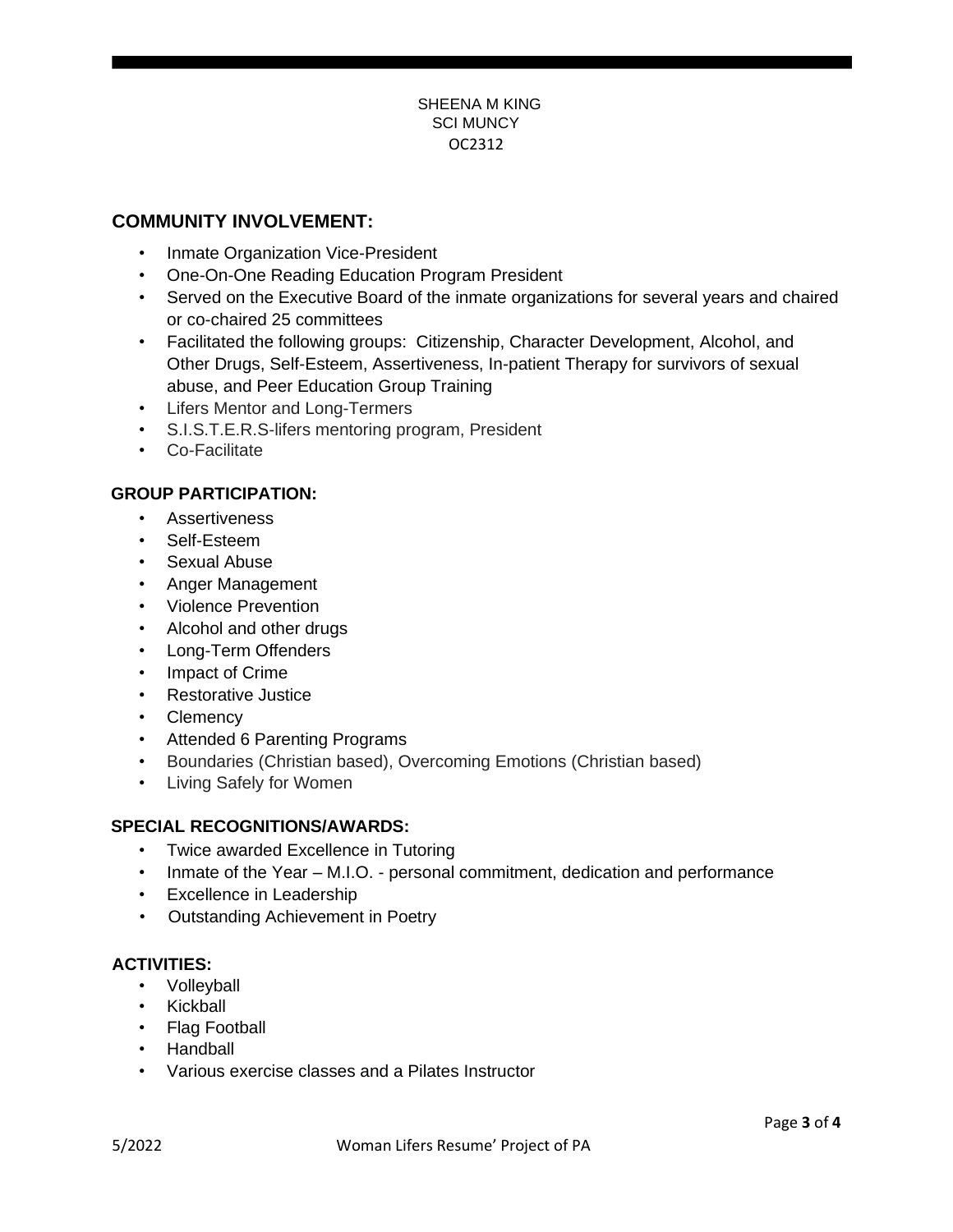### SHEENA M KING SCI MUNCY OC2312

## **COMMUNITY INVOLVEMENT:**

- Inmate Organization Vice-President
- One-On-One Reading Education Program President
- Served on the Executive Board of the inmate organizations for several years and chaired or co-chaired 25 committees
- Facilitated the following groups: Citizenship, Character Development, Alcohol, and Other Drugs, Self-Esteem, Assertiveness, In-patient Therapy for survivors of sexual abuse, and Peer Education Group Training
- Lifers Mentor and Long-Termers
- S.I.S.T.E.R.S-lifers mentoring program, President
- Co-Facilitate

## **GROUP PARTICIPATION:**

- Assertiveness
- Self-Esteem
- Sexual Abuse
- Anger Management
- Violence Prevention
- Alcohol and other drugs
- Long-Term Offenders
- Impact of Crime
- Restorative Justice
- Clemency
- Attended 6 Parenting Programs
- Boundaries (Christian based), Overcoming Emotions (Christian based)
- Living Safely for Women

### **SPECIAL RECOGNITIONS/AWARDS:**

- Twice awarded Excellence in Tutoring
- Inmate of the Year M.I.O. personal commitment, dedication and performance
- Excellence in Leadership
- Outstanding Achievement in Poetry

## **ACTIVITIES:**

- Volleyball
- Kickball
- Flag Football
- Handball
- Various exercise classes and a Pilates Instructor